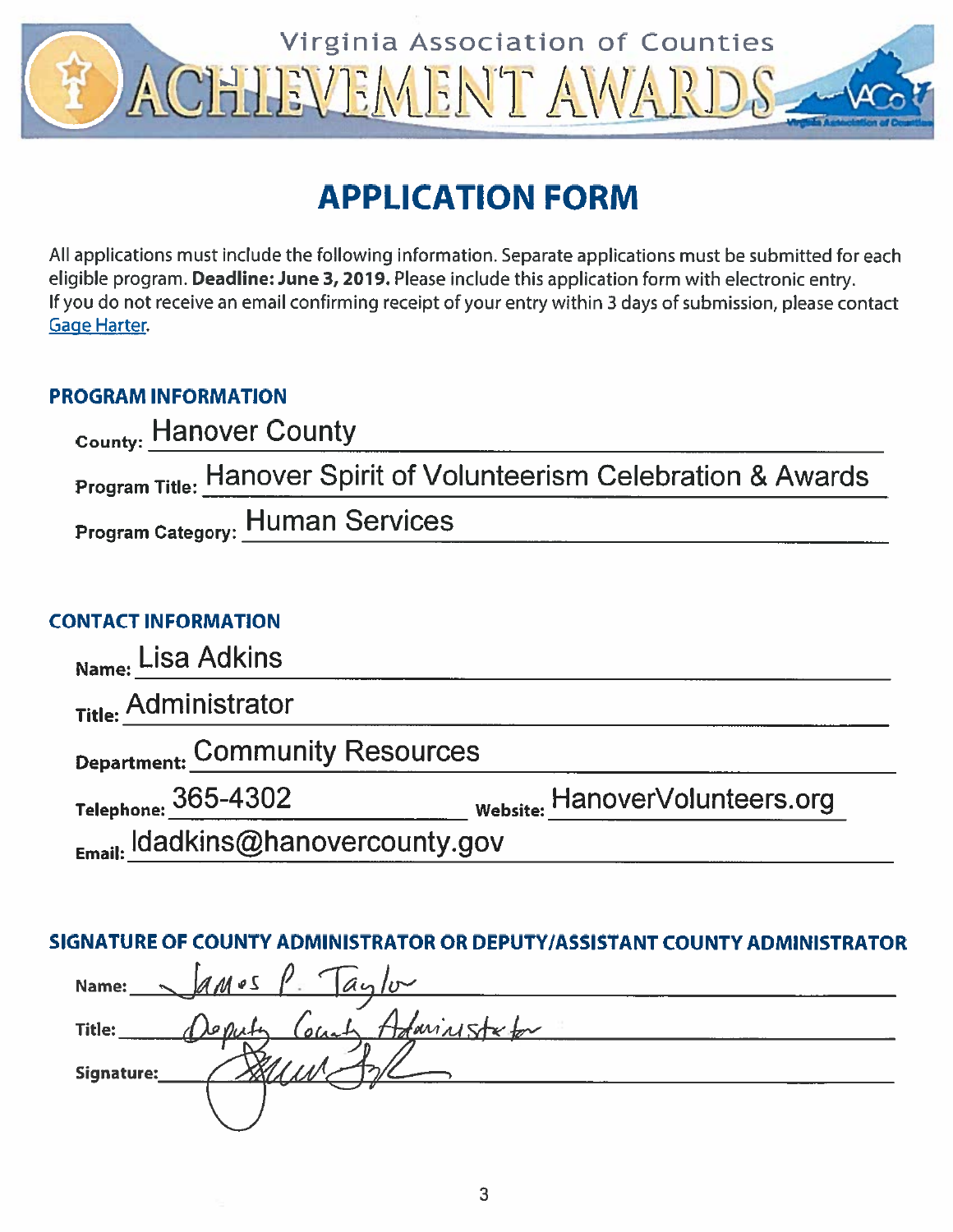

# **APPLICATION FORM**

All applications must include the following information. Separate applications must be submitted for each eligible program. Deadline: June 3, 2019. Please include this application form with electronic entry. If you do not receive an email confirming receipt of your entry within 3 days of submission, please contact **Gage Harter** 

## **PROGRAM INFORMATION**

| <sub>County:</sub> Hanover County                                             |
|-------------------------------------------------------------------------------|
| <b>Program Title: Hanover Spirit of Volunteerism Celebration &amp; Awards</b> |
| <b>Program Category: Human Services</b>                                       |

## **CONTACT INFORMATION**

| Name: Lisa Adkins                 |                                           |
|-----------------------------------|-------------------------------------------|
| Title: Administrator              |                                           |
| Department: Community Resources   |                                           |
| Telephone: 365-4302               | <sub>Website:</sub> HanoverVolunteers.org |
| Email: Idadkins@hanovercounty.gov |                                           |

## SIGNATURE OF COUNTY ADMINISTRATOR OR DEPUTY/ASSISTANT COUNTY ADMINISTRATOR

| $\sim$ ames $\ell$ and<br>Name:         |  |
|-----------------------------------------|--|
| Deputy County Adaminister for<br>Title: |  |
| Signature:                              |  |
|                                         |  |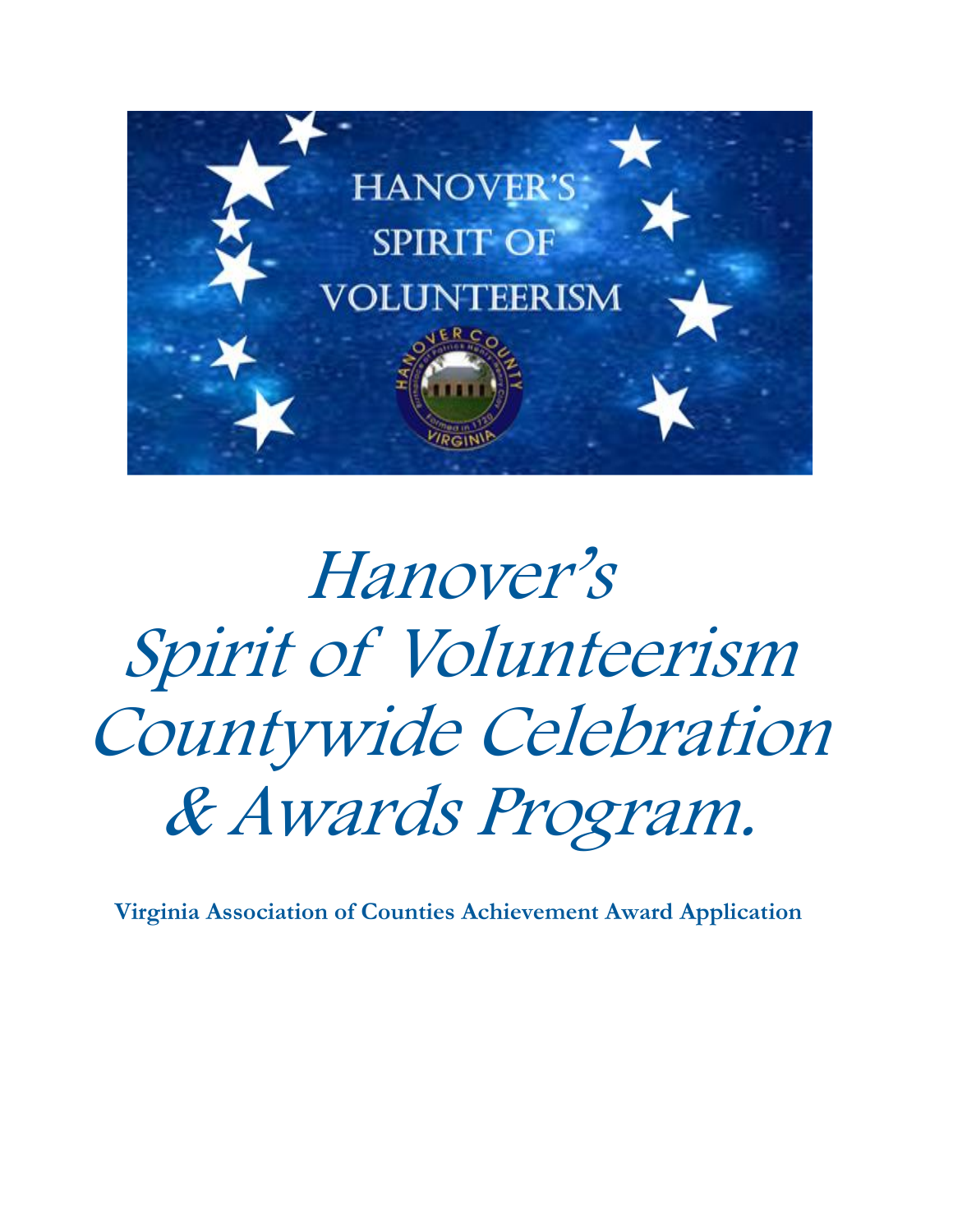

Hanover's Spirit of Volunteerism Countywide Celebration & Awards Program.

**Virginia Association of Counties Achievement Award Application**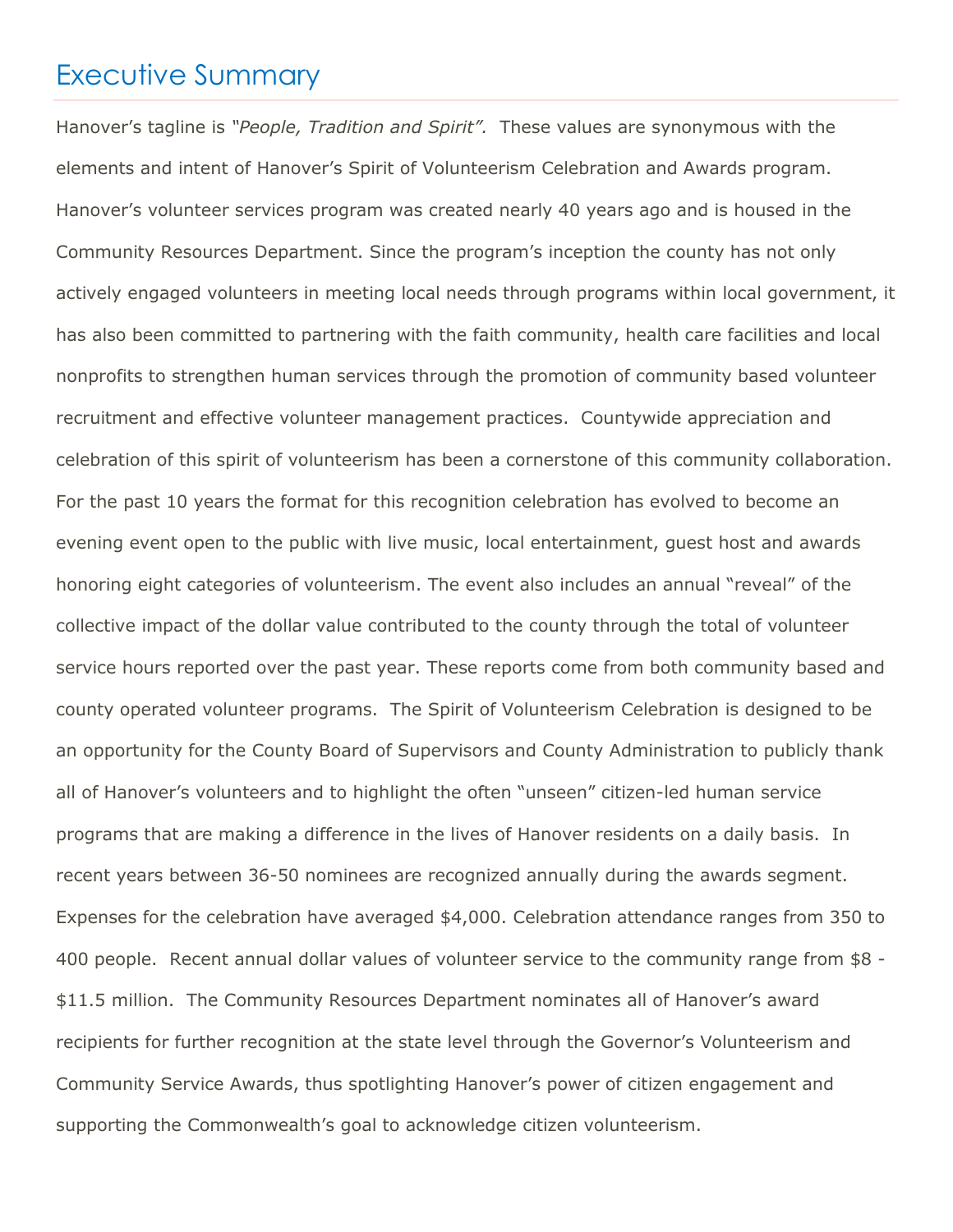## Executive Summary

Hanover's tagline is *"People, Tradition and Spirit".* These values are synonymous with the elements and intent of Hanover's Spirit of Volunteerism Celebration and Awards program. Hanover's volunteer services program was created nearly 40 years ago and is housed in the Community Resources Department. Since the program's inception the county has not only actively engaged volunteers in meeting local needs through programs within local government, it has also been committed to partnering with the faith community, health care facilities and local nonprofits to strengthen human services through the promotion of community based volunteer recruitment and effective volunteer management practices. Countywide appreciation and celebration of this spirit of volunteerism has been a cornerstone of this community collaboration. For the past 10 years the format for this recognition celebration has evolved to become an evening event open to the public with live music, local entertainment, guest host and awards honoring eight categories of volunteerism. The event also includes an annual "reveal" of the collective impact of the dollar value contributed to the county through the total of volunteer service hours reported over the past year. These reports come from both community based and county operated volunteer programs. The Spirit of Volunteerism Celebration is designed to be an opportunity for the County Board of Supervisors and County Administration to publicly thank all of Hanover's volunteers and to highlight the often "unseen" citizen-led human service programs that are making a difference in the lives of Hanover residents on a daily basis. In recent years between 36-50 nominees are recognized annually during the awards segment. Expenses for the celebration have averaged \$4,000. Celebration attendance ranges from 350 to 400 people. Recent annual dollar values of volunteer service to the community range from \$8 - \$11.5 million. The Community Resources Department nominates all of Hanover's award recipients for further recognition at the state level through the Governor's Volunteerism and Community Service Awards, thus spotlighting Hanover's power of citizen engagement and supporting the Commonwealth's goal to acknowledge citizen volunteerism.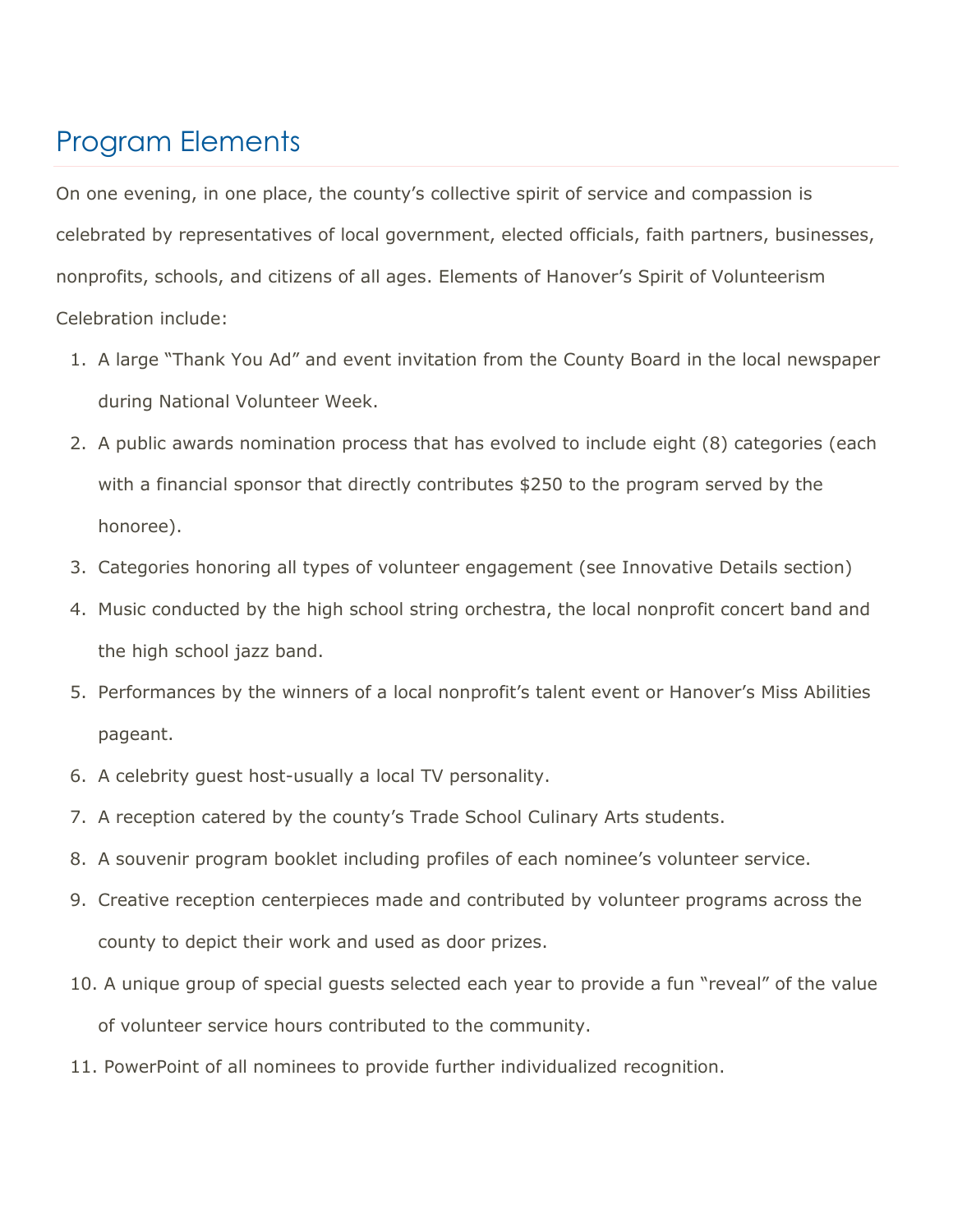# Program Elements

On one evening, in one place, the county's collective spirit of service and compassion is celebrated by representatives of local government, elected officials, faith partners, businesses, nonprofits, schools, and citizens of all ages. Elements of Hanover's Spirit of Volunteerism Celebration include:

- 1. A large "Thank You Ad" and event invitation from the County Board in the local newspaper during National Volunteer Week.
- 2. A public awards nomination process that has evolved to include eight (8) categories (each with a financial sponsor that directly contributes \$250 to the program served by the honoree).
- 3. Categories honoring all types of volunteer engagement (see Innovative Details section)
- 4. Music conducted by the high school string orchestra, the local nonprofit concert band and the high school jazz band.
- 5. Performances by the winners of a local nonprofit's talent event or Hanover's Miss Abilities pageant.
- 6. A celebrity guest host-usually a local TV personality.
- 7. A reception catered by the county's Trade School Culinary Arts students.
- 8. A souvenir program booklet including profiles of each nominee's volunteer service.
- 9. Creative reception centerpieces made and contributed by volunteer programs across the county to depict their work and used as door prizes.
- 10. A unique group of special guests selected each year to provide a fun "reveal" of the value of volunteer service hours contributed to the community.
- 11. PowerPoint of all nominees to provide further individualized recognition.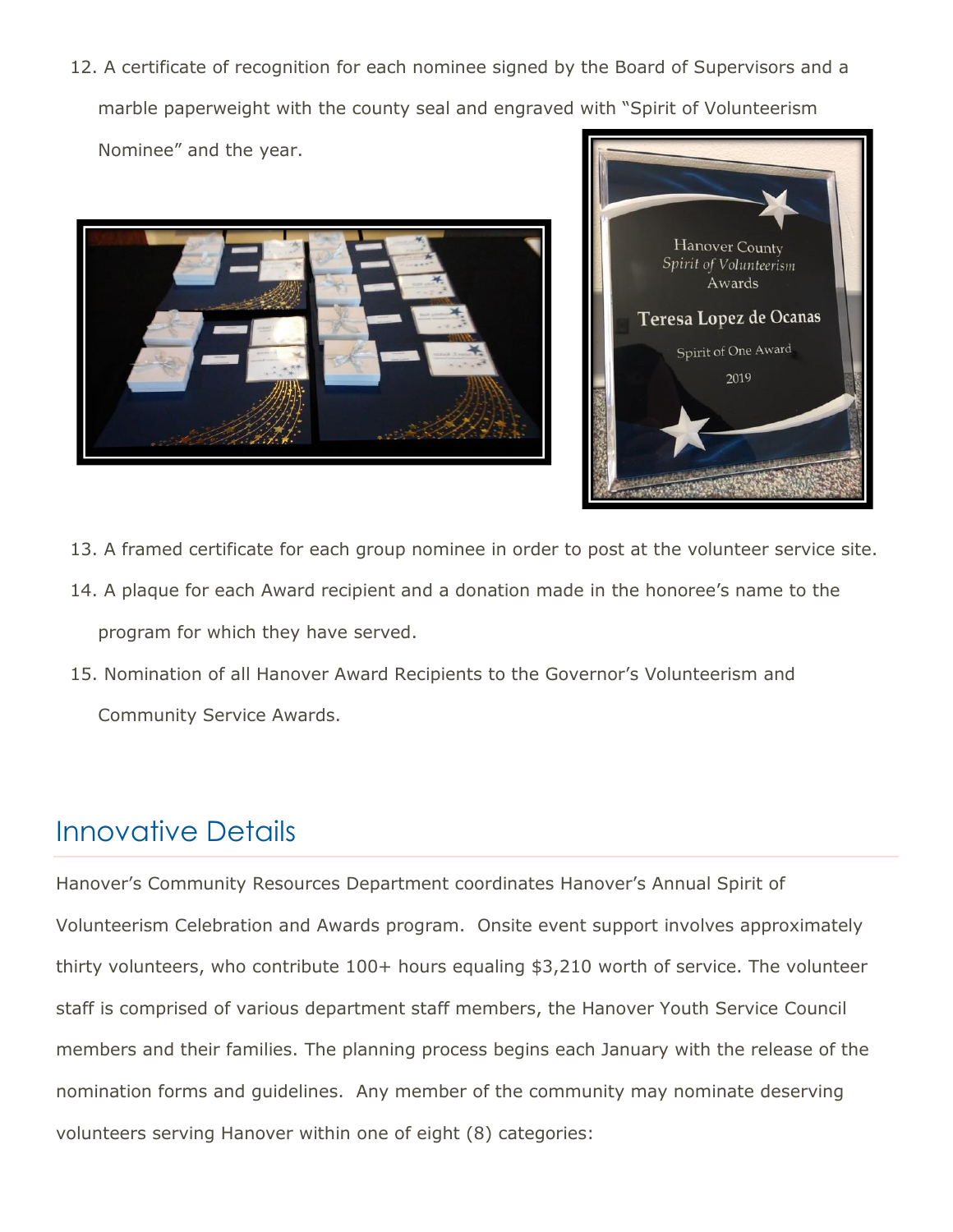12. A certificate of recognition for each nominee signed by the Board of Supervisors and a marble paperweight with the county seal and engraved with "Spirit of Volunteerism Nominee" and the year.





- 13. A framed certificate for each group nominee in order to post at the volunteer service site.
- 14. A plaque for each Award recipient and a donation made in the honoree's name to the program for which they have served.
- 15. Nomination of all Hanover Award Recipients to the Governor's Volunteerism and Community Service Awards.

# Innovative Details

Hanover's Community Resources Department coordinates Hanover's Annual Spirit of Volunteerism Celebration and Awards program. Onsite event support involves approximately thirty volunteers, who contribute 100+ hours equaling \$3,210 worth of service. The volunteer staff is comprised of various department staff members, the Hanover Youth Service Council members and their families. The planning process begins each January with the release of the nomination forms and guidelines. Any member of the community may nominate deserving volunteers serving Hanover within one of eight (8) categories: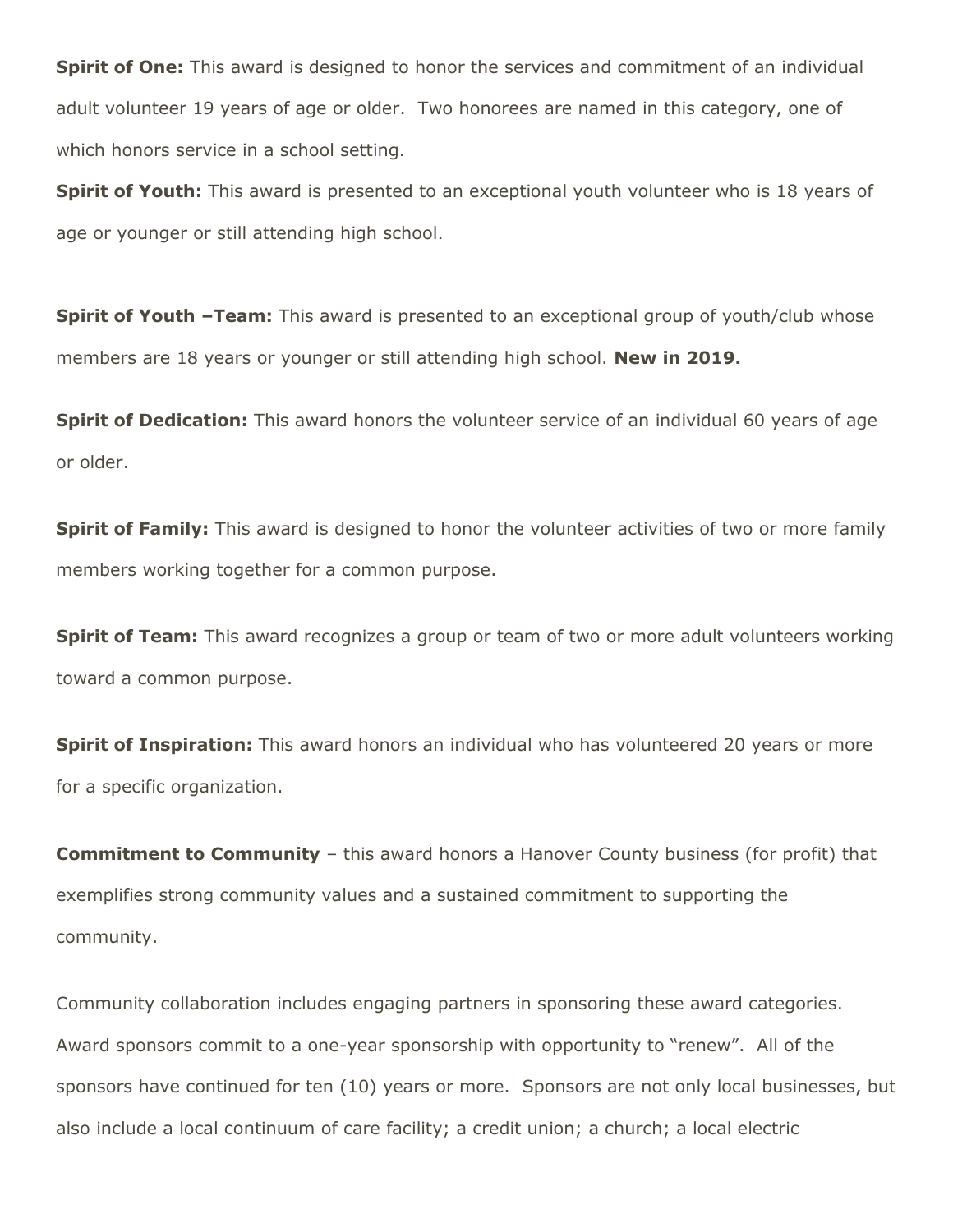**Spirit of One:** This award is designed to honor the services and commitment of an individual adult volunteer 19 years of age or older. Two honorees are named in this category, one of which honors service in a school setting.

**Spirit of Youth:** This award is presented to an exceptional youth volunteer who is 18 years of age or younger or still attending high school.

**Spirit of Youth -Team:** This award is presented to an exceptional group of youth/club whose members are 18 years or younger or still attending high school. **New in 2019.**

**Spirit of Dedication:** This award honors the volunteer service of an individual 60 years of age or older.

**Spirit of Family:** This award is designed to honor the volunteer activities of two or more family members working together for a common purpose.

**Spirit of Team:** This award recognizes a group or team of two or more adult volunteers working toward a common purpose.

**Spirit of Inspiration:** This award honors an individual who has volunteered 20 years or more for a specific organization.

**Commitment to Community** – this award honors a Hanover County business (for profit) that exemplifies strong community values and a sustained commitment to supporting the community.

Community collaboration includes engaging partners in sponsoring these award categories. Award sponsors commit to a one-year sponsorship with opportunity to "renew". All of the sponsors have continued for ten (10) years or more. Sponsors are not only local businesses, but also include a local continuum of care facility; a credit union; a church; a local electric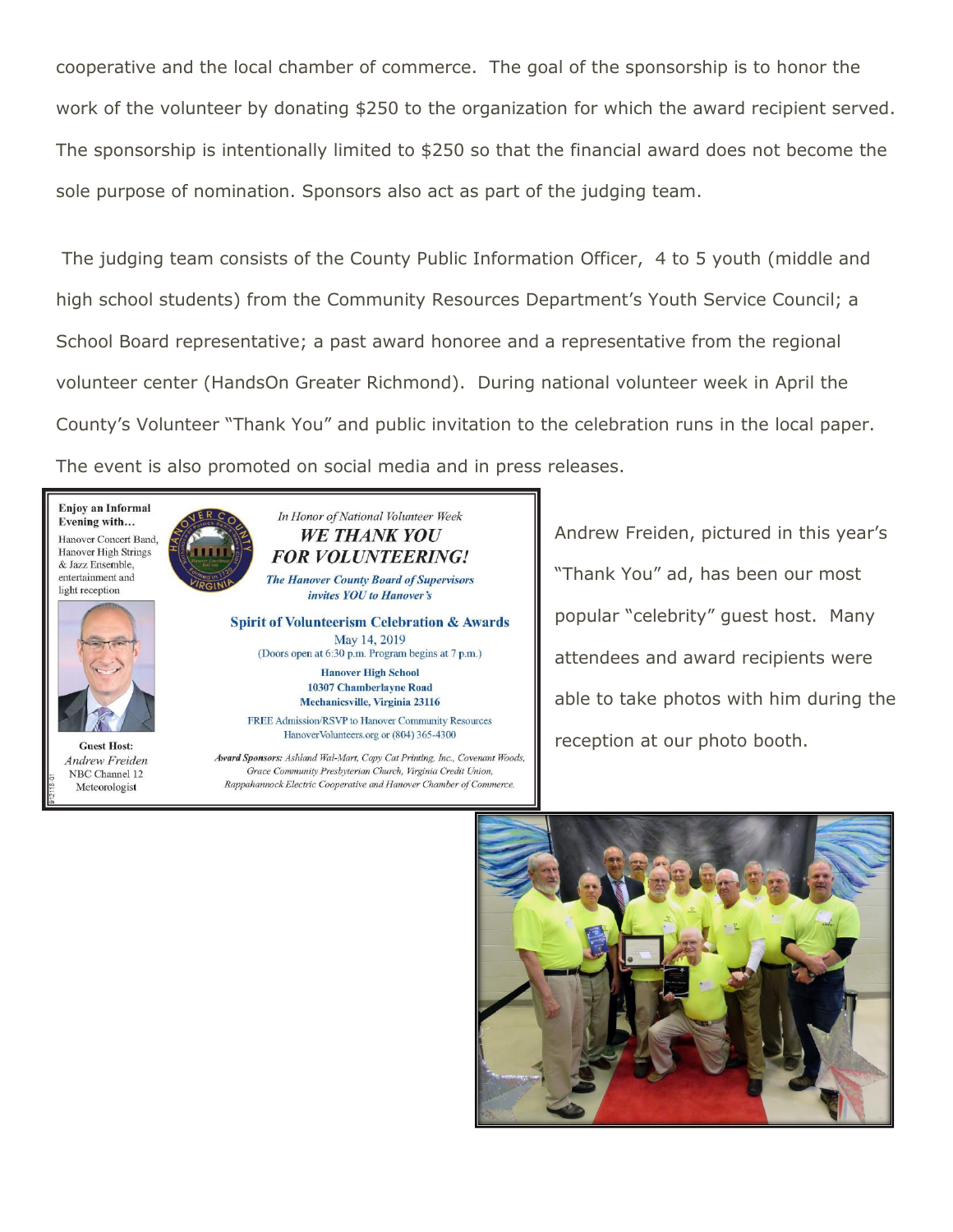cooperative and the local chamber of commerce. The goal of the sponsorship is to honor the work of the volunteer by donating \$250 to the organization for which the award recipient served. The sponsorship is intentionally limited to \$250 so that the financial award does not become the sole purpose of nomination. Sponsors also act as part of the judging team.

The judging team consists of the County Public Information Officer, 4 to 5 youth (middle and high school students) from the Community Resources Department's Youth Service Council; a School Board representative; a past award honoree and a representative from the regional volunteer center (HandsOn Greater Richmond). During national volunteer week in April the County's Volunteer "Thank You" and public invitation to the celebration runs in the local paper. The event is also promoted on social media and in press releases.

Enjoy an Informal Evening with... Hanover Concert Band, Hanover High Strings & Jazz Ensemble. entertainment and light reception



**Guest Host: Andrew Freiden** NBC Channel 12 Meteorologist



invites YOU to Hanover's

**Spirit of Volunteerism Celebration & Awards** May 14, 2019 (Doors open at 6:30 p.m. Program begins at 7 p.m.) **Hanover High School** 10307 Chamberlayne Road Mechanicsville, Virginia 23116

FREE Admission/RSVP to Hanover Community Resources HanoverVolunteers.org or (804) 365-4300

Award Sponsors: Ashland Wal-Mart, Copy Cat Printing, Inc., Covenant Woods, Grace Community Presbyterian Church, Virginia Credit Union, Rappahannock Electric Cooperative and Hanover Chamber of Commerce.

Andrew Freiden, pictured in this year's "Thank You" ad, has been our most popular "celebrity" guest host. Many attendees and award recipients were able to take photos with him during the reception at our photo booth.

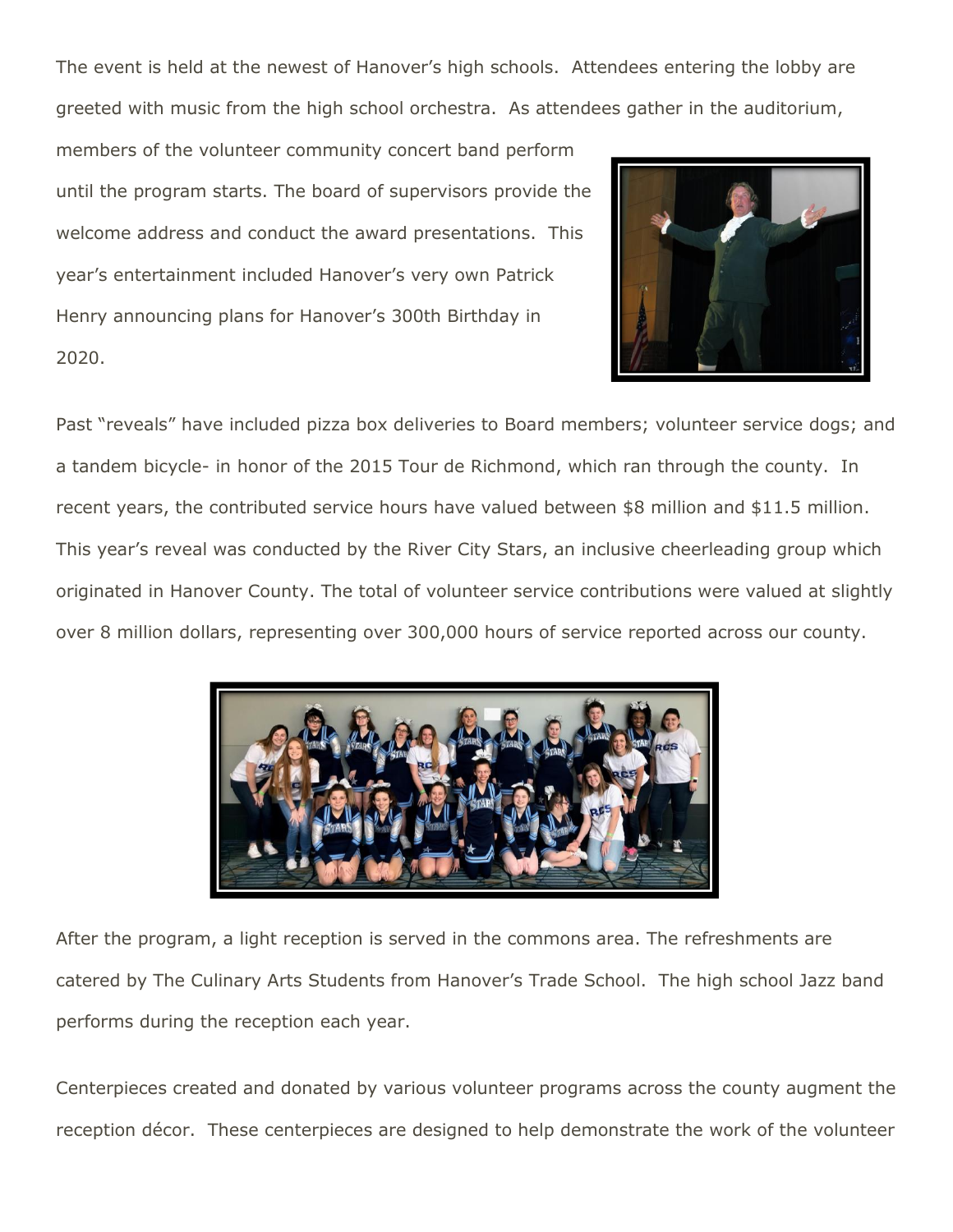The event is held at the newest of Hanover's high schools. Attendees entering the lobby are greeted with music from the high school orchestra. As attendees gather in the auditorium,

members of the volunteer community concert band perform until the program starts. The board of supervisors provide the welcome address and conduct the award presentations. This year's entertainment included Hanover's very own Patrick Henry announcing plans for Hanover's 300th Birthday in 2020.



Past "reveals" have included pizza box deliveries to Board members; volunteer service dogs; and a tandem bicycle- in honor of the 2015 Tour de Richmond, which ran through the county. In recent years, the contributed service hours have valued between \$8 million and \$11.5 million. This year's reveal was conducted by the River City Stars, an inclusive cheerleading group which originated in Hanover County. The total of volunteer service contributions were valued at slightly over 8 million dollars, representing over 300,000 hours of service reported across our county.



After the program, a light reception is served in the commons area. The refreshments are catered by The Culinary Arts Students from Hanover's Trade School. The high school Jazz band performs during the reception each year.

Centerpieces created and donated by various volunteer programs across the county augment the reception décor. These centerpieces are designed to help demonstrate the work of the volunteer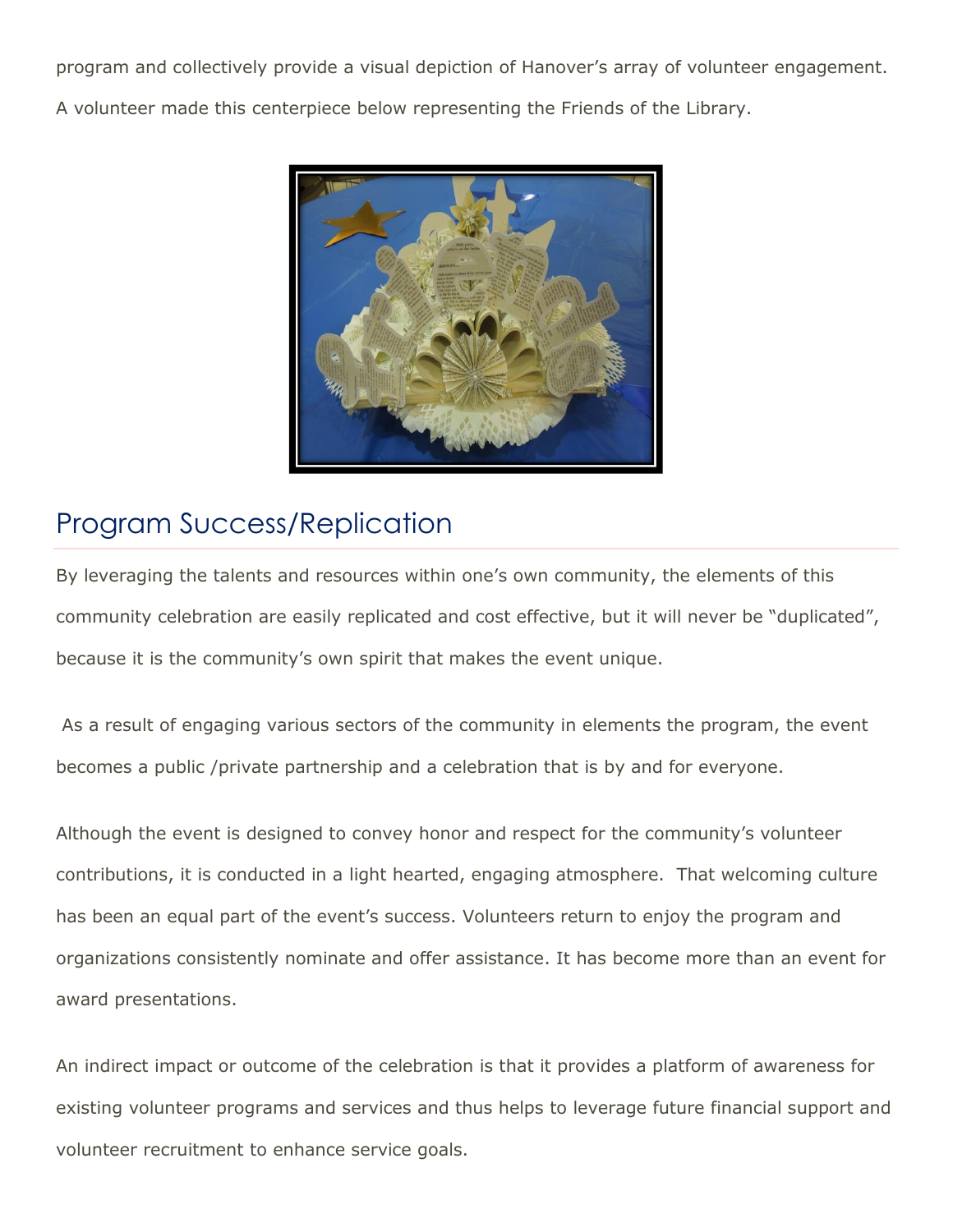program and collectively provide a visual depiction of Hanover's array of volunteer engagement. A volunteer made this centerpiece below representing the Friends of the Library.



# Program Success/Replication

By leveraging the talents and resources within one's own community, the elements of this community celebration are easily replicated and cost effective, but it will never be "duplicated", because it is the community's own spirit that makes the event unique.

As a result of engaging various sectors of the community in elements the program, the event becomes a public /private partnership and a celebration that is by and for everyone.

Although the event is designed to convey honor and respect for the community's volunteer contributions, it is conducted in a light hearted, engaging atmosphere. That welcoming culture has been an equal part of the event's success. Volunteers return to enjoy the program and organizations consistently nominate and offer assistance. It has become more than an event for award presentations.

An indirect impact or outcome of the celebration is that it provides a platform of awareness for existing volunteer programs and services and thus helps to leverage future financial support and volunteer recruitment to enhance service goals.